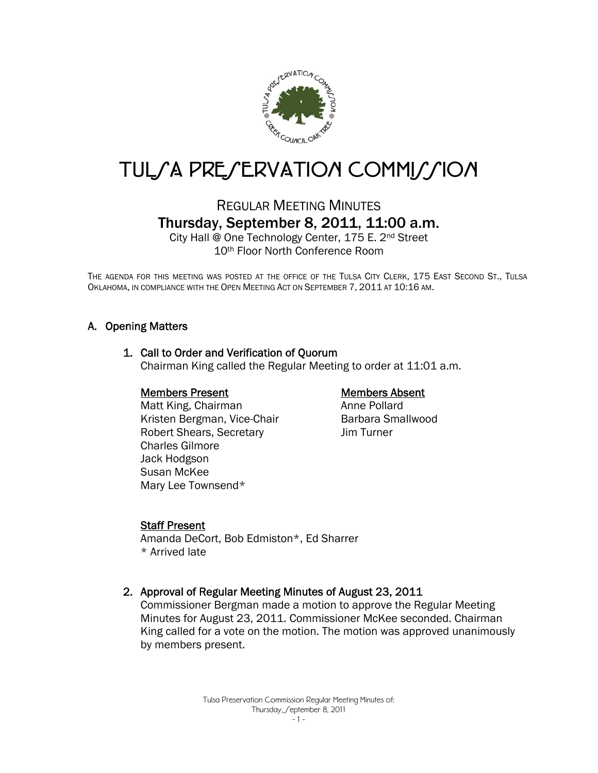

# TUL/A PRE/ERVATION COMMI//ION

# REGULAR MEETING MINUTES Thursday, September 8, 2011, 11:00 a.m.

City Hall @ One Technology Center, 175 E. 2nd Street 10th Floor North Conference Room

THE AGENDA FOR THIS MEETING WAS POSTED AT THE OFFICE OF THE TULSA CITY CLERK, 175 EAST SECOND ST., TULSA OKLAHOMA, IN COMPLIANCE WITH THE OPEN MEETING ACT ON SEPTEMBER 7, 2011 AT 10:16 AM.

# A. Opening Matters

#### 1. Call to Order and Verification of Quorum

Chairman King called the Regular Meeting to order at 11:01 a.m.

#### Members Present

 Matt King, Chairman Kristen Bergman, Vice-Chair Robert Shears, Secretary Charles Gilmore Jack Hodgson Susan McKee Mary Lee Townsend\*

# Members Absent

Anne Pollard Barbara Smallwood Jim Turner

#### Staff Present

Amanda DeCort, Bob Edmiston\*, Ed Sharrer \* Arrived late

#### 2. Approval of Regular Meeting Minutes of August 23, 2011

Commissioner Bergman made a motion to approve the Regular Meeting Minutes for August 23, 2011. Commissioner McKee seconded. Chairman King called for a vote on the motion. The motion was approved unanimously by members present.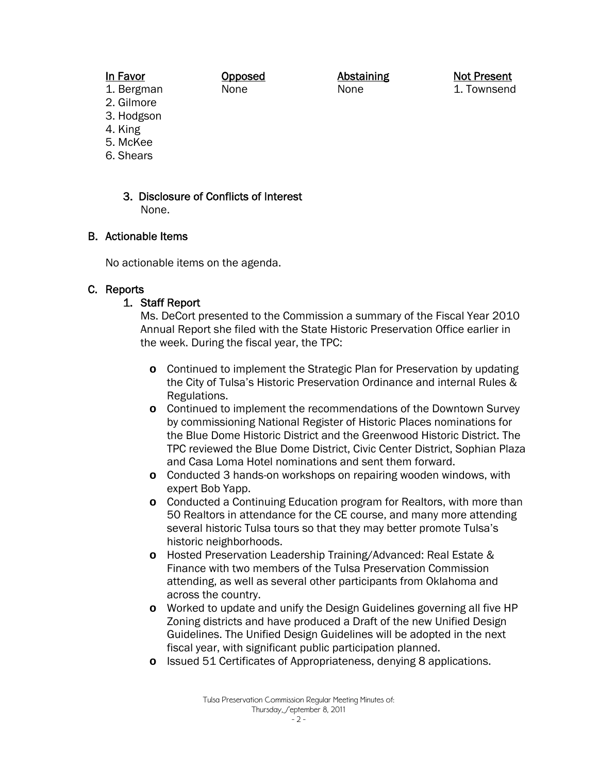# In Favor

Opposed None

Abstaining None

Not Present 1. Townsend

2. Gilmore 3. Hodgson

1. Bergman

- 4. King
- 5. McKee
- 6. Shears
	- 3. Disclosure of Conflicts of Interest None.

# B. Actionable Items

No actionable items on the agenda.

# C. Reports

# 1. Staff Report

Ms. DeCort presented to the Commission a summary of the Fiscal Year 2010 Annual Report she filed with the State Historic Preservation Office earlier in the week. During the fiscal year, the TPC:

- **o** Continued to implement the Strategic Plan for Preservation by updating the City of Tulsa's Historic Preservation Ordinance and internal Rules & Regulations.
- **o** Continued to implement the recommendations of the Downtown Survey by commissioning National Register of Historic Places nominations for the Blue Dome Historic District and the Greenwood Historic District. The TPC reviewed the Blue Dome District, Civic Center District, Sophian Plaza and Casa Loma Hotel nominations and sent them forward.
- **o** Conducted 3 hands-on workshops on repairing wooden windows, with expert Bob Yapp.
- **o** Conducted a Continuing Education program for Realtors, with more than 50 Realtors in attendance for the CE course, and many more attending several historic Tulsa tours so that they may better promote Tulsa's historic neighborhoods.
- **o** Hosted Preservation Leadership Training/Advanced: Real Estate & Finance with two members of the Tulsa Preservation Commission attending, as well as several other participants from Oklahoma and across the country.
- **o** Worked to update and unify the Design Guidelines governing all five HP Zoning districts and have produced a Draft of the new Unified Design Guidelines. The Unified Design Guidelines will be adopted in the next fiscal year, with significant public participation planned.
- **o** Issued 51 Certificates of Appropriateness, denying 8 applications.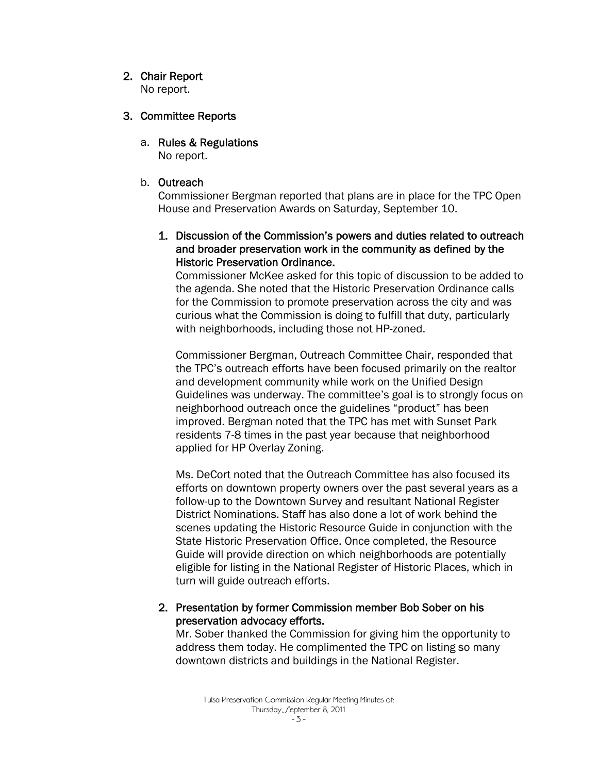# 2. Chair Report

No report.

#### 3. Committee Reports

a. Rules & Regulations

No report.

# b. Outreach

Commissioner Bergman reported that plans are in place for the TPC Open House and Preservation Awards on Saturday, September 10.

# 1. Discussion of the Commission's powers and duties related to outreach and broader preservation work in the community as defined by the Historic Preservation Ordinance.

Commissioner McKee asked for this topic of discussion to be added to the agenda. She noted that the Historic Preservation Ordinance calls for the Commission to promote preservation across the city and was curious what the Commission is doing to fulfill that duty, particularly with neighborhoods, including those not HP-zoned.

Commissioner Bergman, Outreach Committee Chair, responded that the TPC's outreach efforts have been focused primarily on the realtor and development community while work on the Unified Design Guidelines was underway. The committee's goal is to strongly focus on neighborhood outreach once the guidelines "product" has been improved. Bergman noted that the TPC has met with Sunset Park residents 7-8 times in the past year because that neighborhood applied for HP Overlay Zoning.

Ms. DeCort noted that the Outreach Committee has also focused its efforts on downtown property owners over the past several years as a follow-up to the Downtown Survey and resultant National Register District Nominations. Staff has also done a lot of work behind the scenes updating the Historic Resource Guide in conjunction with the State Historic Preservation Office. Once completed, the Resource Guide will provide direction on which neighborhoods are potentially eligible for listing in the National Register of Historic Places, which in turn will guide outreach efforts.

# 2. Presentation by former Commission member Bob Sober on his preservation advocacy efforts.

Mr. Sober thanked the Commission for giving him the opportunity to address them today. He complimented the TPC on listing so many downtown districts and buildings in the National Register.